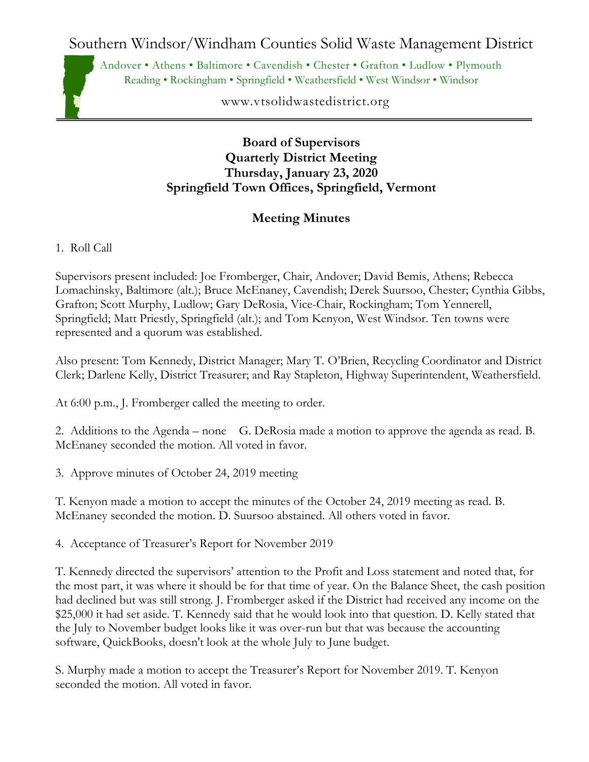Southern Windsor/Windham Counties Solid Waste Management District

Andover • Athens • Baltimore • Cavendish • Chester • Grafton • Ludlow • Plymouth Reading • Rockingham • Springfield • Weathersfield • West Windsor • Windsor

www.vtsolidwastedistrict.org

## **Board of Supervisors Quarterly District Meeting Thursday, January 23, 2020 Springfield Town Offices, Springfield, Vermont**

## **Meeting Minutes**

1. Roll Call

Supervisors present included: Joe Fromberger, Chair, Andover; David Bemis, Athens; Rebecca Lomachinsky, Baltimore (alt.); Bruce McEnaney, Cavendish; Derek Suursoo, Chester; Cynthia Gibbs, Grafton; Scott Murphy, Ludlow; Gary DeRosia, Vice-Chair, Rockingham; Tom Yennerell, Springfield; Matt Priestly, Springfield (alt.); and Tom Kenyon, West Windsor. Ten towns were represented and a quorum was established.

Also present: Tom Kennedy, District Manager; Mary T. O'Brien, Recycling Coordinator and District Clerk; Darlene Kelly, District Treasurer; and Ray Stapleton, Highway Superintendent, Weathersfield.

At 6:00 p.m., J. Fromberger called the meeting to order.

2. Additions to the Agenda – none G. DeRosia made a motion to approve the agenda as read. B. McEnaney seconded the motion. All voted in favor.

3. Approve minutes of October 24, 2019 meeting

T. Kenyon made a motion to accept the minutes of the October 24, 2019 meeting as read. B. McEnaney seconded the motion. D. Suursoo abstained. All others voted in favor.

4. Acceptance of Treasurer's Report for November 2019

T. Kennedy directed the supervisors' attention to the Profit and Loss statement and noted that, for the most part, it was where it should be for that time of year. On the Balance Sheet, the cash position had declined but was still strong. J. Fromberger asked if the District had received any income on the \$25,000 it had set aside. T. Kennedy said that he would look into that question. D. Kelly stated that the July to November budget looks like it was over-run but that was because the accounting software, QuickBooks, doesn't look at the whole July to June budget.

S. Murphy made a motion to accept the Treasurer's Report for November 2019. T. Kenyon seconded the motion. All voted in favor.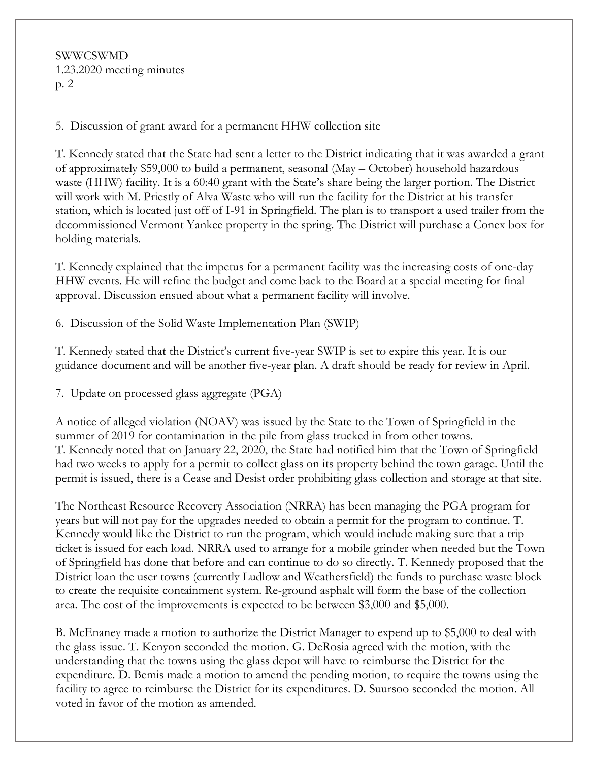SWWCSWMD 1.23.2020 meeting minutes p. 2

5. Discussion of grant award for a permanent HHW collection site

T. Kennedy stated that the State had sent a letter to the District indicating that it was awarded a grant of approximately \$59,000 to build a permanent, seasonal (May – October) household hazardous waste (HHW) facility. It is a 60:40 grant with the State's share being the larger portion. The District will work with M. Priestly of Alva Waste who will run the facility for the District at his transfer station, which is located just off of I-91 in Springfield. The plan is to transport a used trailer from the decommissioned Vermont Yankee property in the spring. The District will purchase a Conex box for holding materials.

T. Kennedy explained that the impetus for a permanent facility was the increasing costs of one-day HHW events. He will refine the budget and come back to the Board at a special meeting for final approval. Discussion ensued about what a permanent facility will involve.

6. Discussion of the Solid Waste Implementation Plan (SWIP)

T. Kennedy stated that the District's current five-year SWIP is set to expire this year. It is our guidance document and will be another five-year plan. A draft should be ready for review in April.

7. Update on processed glass aggregate (PGA)

A notice of alleged violation (NOAV) was issued by the State to the Town of Springfield in the summer of 2019 for contamination in the pile from glass trucked in from other towns. T. Kennedy noted that on January 22, 2020, the State had notified him that the Town of Springfield had two weeks to apply for a permit to collect glass on its property behind the town garage. Until the permit is issued, there is a Cease and Desist order prohibiting glass collection and storage at that site.

The Northeast Resource Recovery Association (NRRA) has been managing the PGA program for years but will not pay for the upgrades needed to obtain a permit for the program to continue. T. Kennedy would like the District to run the program, which would include making sure that a trip ticket is issued for each load. NRRA used to arrange for a mobile grinder when needed but the Town of Springfield has done that before and can continue to do so directly. T. Kennedy proposed that the District loan the user towns (currently Ludlow and Weathersfield) the funds to purchase waste block to create the requisite containment system. Re-ground asphalt will form the base of the collection area. The cost of the improvements is expected to be between \$3,000 and \$5,000.

B. McEnaney made a motion to authorize the District Manager to expend up to \$5,000 to deal with the glass issue. T. Kenyon seconded the motion. G. DeRosia agreed with the motion, with the understanding that the towns using the glass depot will have to reimburse the District for the expenditure. D. Bemis made a motion to amend the pending motion, to require the towns using the facility to agree to reimburse the District for its expenditures. D. Suursoo seconded the motion. All voted in favor of the motion as amended.